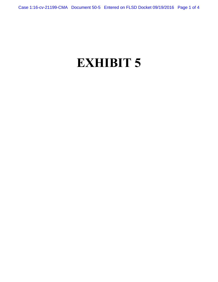# **EXHIBIT 5**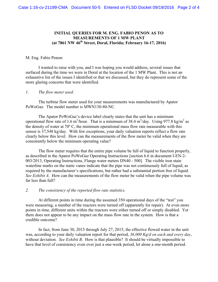## **INITIAL QUERIES FOR M. ENG. FABIO PENON AS TO MEASUREMENTS OF 1 MW PLANT (at 7861 NW 46th Street, Doral, Florida; February 16-17, 2016)**

#### M. Eng. Fabio Penon:

 I wanted to raise with you, and I was hoping you would address, several issues that surfaced during the time we were in Doral at the location of the 1 MW Plant. This is not an exhaustive list of the issues I identified or that we discussed, but they do represent some of the more glaring concerns that were identified.

#### *1. The flow meter used.*

 The turbine flow meter used for your measurements was manufactured by Apator PoWoGaz. The model number is MWN130-80-NC.

 The Apator PoWoGaz's device label clearly states that the unit has a minimum operational flow rate of 1.6 m<sup>3</sup>/hour. That is a minimum of 38.4 m<sup>3</sup>/day. Using 977.8 kg/m<sup>3</sup> as the density of water at 70º C, the minimum operational mass flow rate measurable with this sensor is 37,548 kg/day. With few exceptions, your daily valuation reports reflect a flow rate clearly below this level. How can the measurements of the flow meter be valid when they are consistently below the minimum operating value?

 The flow meter requires that the entire pipe volume be full of liquid to function properly, as described in the Apator PoWoGaz Operating Instructions [section 6.6 in document I-EN-2- 003/2013, Operating Instructions, Flange water meters DN40 - 500]. The visible iron stain waterline marks on the static vanes indicate that the pipe was not continuously full of liquid, as required by the manufacturer's specifications, but rather had a substantial portion free of liquid. *See Exhibit A*. How can the measurements of the flow meter be valid when the pipe volume was far less than full?

#### *2. The consistency of the reported flow rate statistics.*

 At different points in time during the assumed 350 operational days of the "test" you were measuring, a number of the reactors were turned off (apparently for repair). At even more points in time, different units within the reactors were either turned off or simply disabled. Yet there does not appear to be any impact on the mass flow rate in the system. How is that a credible outcome?

 In fact, from June 30, 2015 through July 27, 2015, the effective flowed water in the unit was, according to your daily valuation report for that period, *36,000 Kg/d on each and every day*, without deviation. *See Exhibit B*. How is that plausible? It should be virtually impossible to have that level of consistency even over just a one-week period, let alone a one-month period.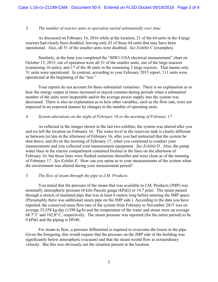## *3. The number of reactor units in operation varied substantially over time.*

 As discussed on February 16, 2016 while at the location, 21 of the 64 units in the 4 large reactors had clearly been disabled, leaving only 43 of those 64 units that may have been operational. Also, all 51 of the smaller units were disabled. *See Exhibit C* (examples).

 Similarly, at the time you completed the "MW1-USA electrical measurement" chart on October 13, 2015, out of operation were all 51 of the smaller units, one of the large reactors (containing 16 units), and 17 of the 48 units in the remaining 3 large reactors. That means only 31 units were operational. In contrast, according to your February 2015 report, 111 units were operational at the beginning of the "test."

 Your reports do not account for these substantial variations. There is no explanation as to how the energy output at times increased or stayed constant during periods when a substantial number of the units were inoperable and/or the average power supply into the system was decreased. There is also no explanation as to how other variables, such as the flow rate, were not impacted in an expected manner by changes in the number of operating units.

#### *4. System alterations on the night of February 16 or the morning of February 17.*

 As reflected in the images shown in the last two exhibits, the system was altered after you and we left the location on February 16. The water level in the reservoir tank is clearly different as between (a) late in the afternoon of February 16, after you had instructed that the system be shut down, and (b) on the morning of February 17, when you continued to conduct your measurements and you collected your measurement equipment. *See Exhibit D*. Also, the pump water lines in the reactor compartment contained biofoul in the lines on the afternoon of February 16, but those lines were flushed sometime thereafter and were clean as of the morning of February 17. *See Exhibit E*. How can you opine as to your measurements of the system when the environment was altered during your measurement period?

## *5. The flow of steam through the pipe to J.M. Products.*

 You stated that the pressure of the steam that was available to J.M. Products (JMP) was nominally atmospheric pressure (0 kilo Pascals gauge (kPaG) or 14.7 psia). The steam passed through a stretch of insulated pipe that was at least 6 meters long before entering the JMP space. (Presumably there was additional steam pipe on the JMP side.) According to the data you have reported, the conserved mass flow rate of the system from February to November 2015 was on average 33,558 kg/day (1398 kg/h) and the temperature of the water and steam were on average 68.7º C and 102.8º C, respectively. The steam pressure was reported (for the entire period) to be 0 kPaG and the piping is DN40.

 For steam to flow, a pressure differential is required to overcome the losses in the pipe. Given the foregoing, this would require that the pressure on the JMP side of the building was significantly below atmospheric (vacuum) and that the steam would flow at extraordinary velocity. But this was obviously not the situation present at the location.